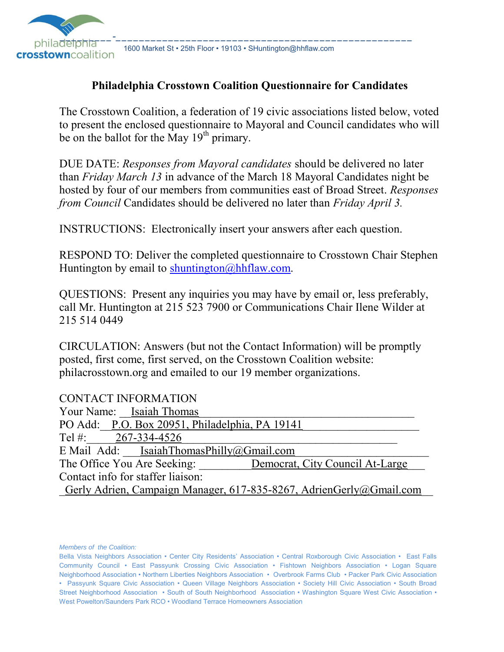

**Crosstown**Coalition 1600 Market St • 25th Floor • 19103 • SHuntington@hhflaw.com

#### **Philadelphia Crosstown Coalition Questionnaire for Candidates**

The Crosstown Coalition, a federation of 19 civic associations listed below, voted to present the enclosed questionnaire to Mayoral and Council candidates who will be on the ballot for the May  $19<sup>th</sup>$  primary.

DUE DATE: *Responses from Mayoral candidates* should be delivered no later than *Friday March 13* in advance of the March 18 Mayoral Candidates night be hosted by four of our members from communities east of Broad Street. *Responses from Council* Candidates should be delivered no later than *Friday April 3.*

INSTRUCTIONS: Electronically insert your answers after each question.

RESPOND TO: Deliver the completed questionnaire to Crosstown Chair Stephen Huntington by email to [shuntington@hhflaw.com.](mailto:shuntington@hhflaw.com)

QUESTIONS: Present any inquiries you may have by email or, less preferably, call Mr. Huntington at 215 523 7900 or Communications Chair Ilene Wilder at 215 514 0449

CIRCULATION: Answers (but not the Contact Information) will be promptly posted, first come, first served, on the Crosstown Coalition website: philacrosstown.org and emailed to our 19 member organizations.

#### CONTACT INFORMATION

| Your Name: Isaiah Thomas                                            |
|---------------------------------------------------------------------|
| PO Add: P.O. Box 20951, Philadelphia, PA 19141                      |
| Tel #: $267-334-4526$                                               |
| E Mail Add: Isaiah Thomas Philly $(a)$ Gmail.com                    |
| The Office You Are Seeking:<br>Democrat, City Council At-Large      |
| Contact info for staffer liaison:                                   |
| Gerly Adrien, Campaign Manager, 617-835-8267, AdrienGerly@Gmail.com |

*Members of the Coalition:*

Bella Vista Neighbors Association • Center City Residents' Association • Central Roxborough Civic Association • East Falls Community Council • East Passyunk Crossing Civic Association • Fishtown Neighbors Association • Logan Square Neighborhood Association • Northern Liberties Neighbors Association • Overbrook Farms Club • Packer Park Civic Association • Passyunk Square Civic Association • Queen Village Neighbors Association • Society Hill Civic Association • South Broad Street Neighborhood Association • South of South Neighborhood Association • Washington Square West Civic Association • West Powelton/Saunders Park RCO • Woodland Terrace Homeowners Association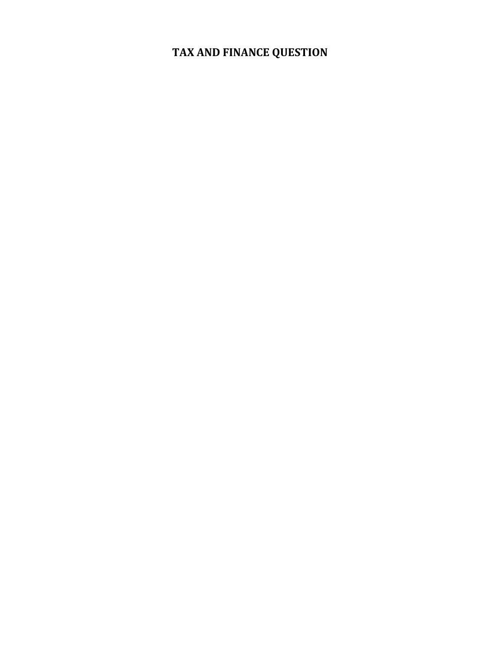# **TAX AND FINANCE QUESTION**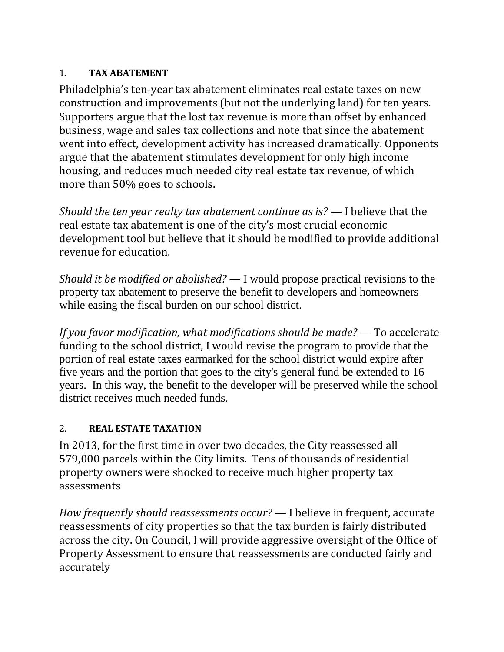#### 1. **TAX ABATEMENT**

Philadelphia's ten-year tax abatement eliminates real estate taxes on new construction and improvements (but not the underlying land) for ten years. Supporters argue that the lost tax revenue is more than offset by enhanced business, wage and sales tax collections and note that since the abatement went into effect, development activity has increased dramatically. Opponents argue that the abatement stimulates development for only high income housing, and reduces much needed city real estate tax revenue, of which more than 50% goes to schools.

*Should the ten year realty tax abatement continue as is?* — I believe that the real estate tax abatement is one of the city's most crucial economic development tool but believe that it should be modified to provide additional revenue for education.

*Should it be modified or abolished? —* I would propose practical revisions to the property tax abatement to preserve the benefit to developers and homeowners while easing the fiscal burden on our school district.

*If you favor modification, what modifications should be made?* — To accelerate funding to the school district, I would revise the program to provide that the portion of real estate taxes earmarked for the school district would expire after five years and the portion that goes to the city's general fund be extended to 16 years. In this way, the benefit to the developer will be preserved while the school district receives much needed funds.

### 2. **REAL ESTATE TAXATION**

In 2013, for the first time in over two decades, the City reassessed all 579,000 parcels within the City limits. Tens of thousands of residential property owners were shocked to receive much higher property tax assessments

*How frequently should reassessments occur? —* I believe in frequent, accurate reassessments of city properties so that the tax burden is fairly distributed across the city. On Council, I will provide aggressive oversight of the Office of Property Assessment to ensure that reassessments are conducted fairly and accurately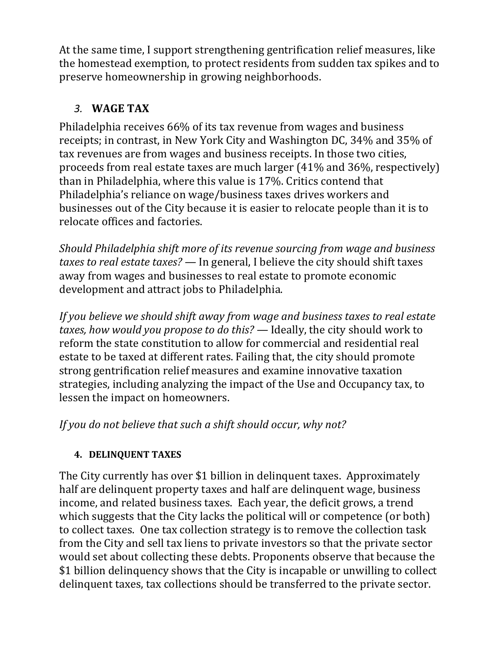At the same time, I support strengthening gentrification relief measures, like the homestead exemption, to protect residents from sudden tax spikes and to preserve homeownership in growing neighborhoods.

# *3.* **WAGE TAX**

Philadelphia receives 66% of its tax revenue from wages and business receipts; in contrast, in New York City and Washington DC, 34% and 35% of tax revenues are from wages and business receipts. In those two cities, proceeds from real estate taxes are much larger (41% and 36%, respectively) than in Philadelphia, where this value is 17%. Critics contend that Philadelphia's reliance on wage/business taxes drives workers and businesses out of the City because it is easier to relocate people than it is to relocate offices and factories.

*Should Philadelphia shift more of its revenue sourcing from wage and business taxes to real estate taxes? —* In general, I believe the city should shift taxes away from wages and businesses to real estate to promote economic development and attract jobs to Philadelphia.

*If you believe we should shift away from wage and business taxes to real estate taxes, how would you propose to do this? —* Ideally, the city should work to reform the state constitution to allow for commercial and residential real estate to be taxed at different rates. Failing that, the city should promote strong gentrification relief measures and examine innovative taxation strategies, including analyzing the impact of the Use and Occupancy tax, to lessen the impact on homeowners.

*If you do not believe that such a shift should occur, why not?* 

### **4. DELINQUENT TAXES**

The City currently has over \$1 billion in delinquent taxes. Approximately half are delinquent property taxes and half are delinquent wage, business income, and related business taxes. Each year, the deficit grows, a trend which suggests that the City lacks the political will or competence (or both) to collect taxes. One tax collection strategy is to remove the collection task from the City and sell tax liens to private investors so that the private sector would set about collecting these debts. Proponents observe that because the \$1 billion delinquency shows that the City is incapable or unwilling to collect delinquent taxes, tax collections should be transferred to the private sector.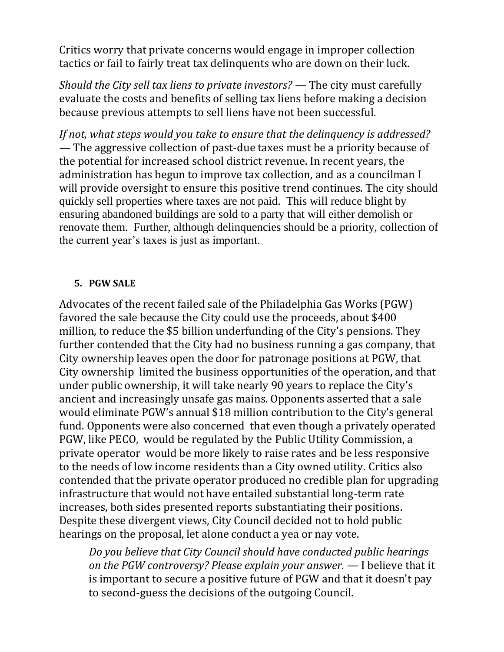Critics worry that private concerns would engage in improper collection tactics or fail to fairly treat tax delinquents who are down on their luck.

*Should the City sell tax liens to private investors? —* The city must carefully evaluate the costs and benefits of selling tax liens before making a decision because previous attempts to sell liens have not been successful.

*If not, what steps would you take to ensure that the delinquency is addressed? —* The aggressive collection of past-due taxes must be a priority because of the potential for increased school district revenue. In recent years, the administration has begun to improve tax collection, and as a councilman I will provide oversight to ensure this positive trend continues. The city should quickly sell properties where taxes are not paid. This will reduce blight by ensuring abandoned buildings are sold to a party that will either demolish or renovate them. Further, although delinquencies should be a priority, collection of the current year's taxes is just as important.

#### **5. PGW SALE**

Advocates of the recent failed sale of the Philadelphia Gas Works (PGW) favored the sale because the City could use the proceeds, about \$400 million, to reduce the \$5 billion underfunding of the City's pensions. They further contended that the City had no business running a gas company, that City ownership leaves open the door for patronage positions at PGW, that City ownership limited the business opportunities of the operation, and that under public ownership, it will take nearly 90 years to replace the City's ancient and increasingly unsafe gas mains. Opponents asserted that a sale would eliminate PGW's annual \$18 million contribution to the City's general fund. Opponents were also concerned that even though a privately operated PGW, like PECO, would be regulated by the Public Utility Commission, a private operator would be more likely to raise rates and be less responsive to the needs of low income residents than a City owned utility. Critics also contended that the private operator produced no credible plan for upgrading infrastructure that would not have entailed substantial long-term rate increases, both sides presented reports substantiating their positions. Despite these divergent views, City Council decided not to hold public hearings on the proposal, let alone conduct a yea or nay vote.

*Do you believe that City Council should have conducted public hearings on the PGW controversy? Please explain your answer. —* I believe that it is important to secure a positive future of PGW and that it doesn't pay to second-guess the decisions of the outgoing Council.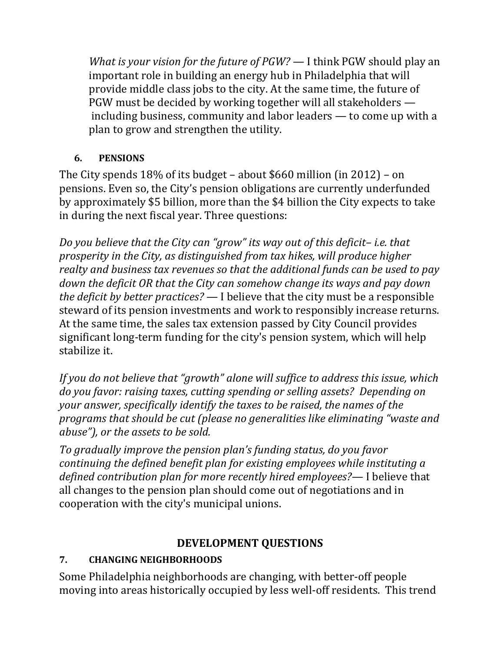*What is your vision for the future of PGW?* — I think PGW should play an important role in building an energy hub in Philadelphia that will provide middle class jobs to the city. At the same time, the future of PGW must be decided by working together will all stakeholders including business, community and labor leaders — to come up with a plan to grow and strengthen the utility.

#### **6. PENSIONS**

The City spends 18% of its budget – about \$660 million (in 2012) – on pensions. Even so, the City's pension obligations are currently underfunded by approximately \$5 billion, more than the \$4 billion the City expects to take in during the next fiscal year. Three questions:

*Do you believe that the City can "grow" its way out of this deficit– i.e. that prosperity in the City, as distinguished from tax hikes, will produce higher realty and business tax revenues so that the additional funds can be used to pay down the deficit OR that the City can somehow change its ways and pay down the deficit by better practices?* — I believe that the city must be a responsible steward of its pension investments and work to responsibly increase returns. At the same time, the sales tax extension passed by City Council provides significant long-term funding for the city's pension system, which will help stabilize it.

*If you do not believe that "growth" alone will suffice to address this issue, which do you favor: raising taxes, cutting spending or selling assets? Depending on your answer, specifically identify the taxes to be raised, the names of the programs that should be cut (please no generalities like eliminating "waste and abuse"), or the assets to be sold.*

*To gradually improve the pension plan's funding status, do you favor continuing the defined benefit plan for existing employees while instituting a defined contribution plan for more recently hired employees?—* I believe that all changes to the pension plan should come out of negotiations and in cooperation with the city's municipal unions.

# **DEVELOPMENT QUESTIONS**

# **7. CHANGING NEIGHBORHOODS**

Some Philadelphia neighborhoods are changing, with better-off people moving into areas historically occupied by less well-off residents. This trend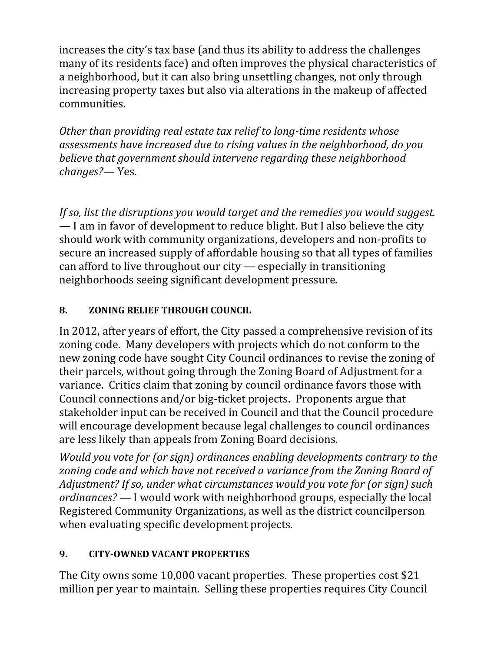increases the city's tax base (and thus its ability to address the challenges many of its residents face) and often improves the physical characteristics of a neighborhood, but it can also bring unsettling changes, not only through increasing property taxes but also via alterations in the makeup of affected communities.

*Other than providing real estate tax relief to long-time residents whose assessments have increased due to rising values in the neighborhood, do you believe that government should intervene regarding these neighborhood changes?—* Yes.

*If so, list the disruptions you would target and the remedies you would suggest.* — I am in favor of development to reduce blight. But I also believe the city should work with community organizations, developers and non-profits to secure an increased supply of affordable housing so that all types of families can afford to live throughout our city — especially in transitioning neighborhoods seeing significant development pressure.

# **8. ZONING RELIEF THROUGH COUNCIL**

In 2012, after years of effort, the City passed a comprehensive revision of its zoning code. Many developers with projects which do not conform to the new zoning code have sought City Council ordinances to revise the zoning of their parcels, without going through the Zoning Board of Adjustment for a variance. Critics claim that zoning by council ordinance favors those with Council connections and/or big-ticket projects. Proponents argue that stakeholder input can be received in Council and that the Council procedure will encourage development because legal challenges to council ordinances are less likely than appeals from Zoning Board decisions.

*Would you vote for (or sign) ordinances enabling developments contrary to the zoning code and which have not received a variance from the Zoning Board of Adjustment? If so, under what circumstances would you vote for (or sign) such ordinances? —* I would work with neighborhood groups, especially the local Registered Community Organizations, as well as the district councilperson when evaluating specific development projects.

### **9. CITY-OWNED VACANT PROPERTIES**

The City owns some 10,000 vacant properties. These properties cost \$21 million per year to maintain. Selling these properties requires City Council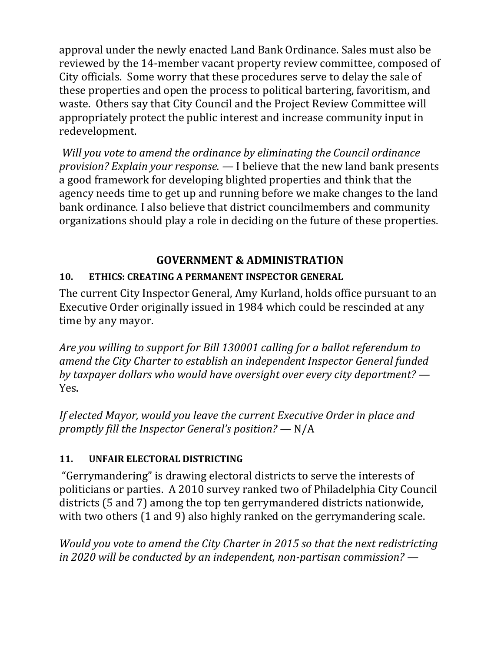approval under the newly enacted Land Bank Ordinance. Sales must also be reviewed by the 14-member vacant property review committee, composed of City officials. Some worry that these procedures serve to delay the sale of these properties and open the process to political bartering, favoritism, and waste. Others say that City Council and the Project Review Committee will appropriately protect the public interest and increase community input in redevelopment.

*Will you vote to amend the ordinance by eliminating the Council ordinance provision? Explain your response. —* I believe that the new land bank presents a good framework for developing blighted properties and think that the agency needs time to get up and running before we make changes to the land bank ordinance. I also believe that district councilmembers and community organizations should play a role in deciding on the future of these properties.

# **GOVERNMENT & ADMINISTRATION**

# **10. ETHICS: CREATING A PERMANENT INSPECTOR GENERAL**

The current City Inspector General, Amy Kurland, holds office pursuant to an Executive Order originally issued in 1984 which could be rescinded at any time by any mayor.

*Are you willing to support for Bill 130001 calling for a ballot referendum to amend the City Charter to establish an independent Inspector General funded by taxpayer dollars who would have oversight over every city department? —* Yes.

*If elected Mayor, would you leave the current Executive Order in place and promptly fill the Inspector General's position? —* N/A

### **11. UNFAIR ELECTORAL DISTRICTING**

"Gerrymandering" is drawing electoral districts to serve the interests of politicians or parties. A 2010 survey ranked two of Philadelphia City Council districts (5 and 7) among the top ten gerrymandered districts nationwide, with two others (1 and 9) also highly ranked on the gerrymandering scale.

*Would you vote to amend the City Charter in 2015 so that the next redistricting in 2020 will be conducted by an independent, non-partisan commission? —*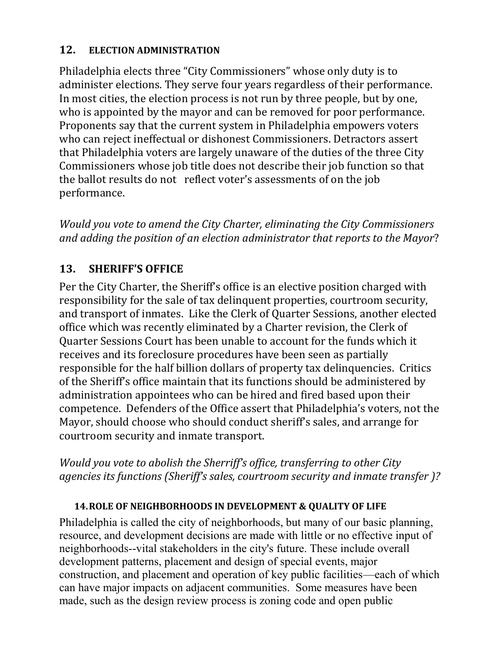#### **12. ELECTION ADMINISTRATION**

Philadelphia elects three "City Commissioners" whose only duty is to administer elections. They serve four years regardless of their performance. In most cities, the election process is not run by three people, but by one, who is appointed by the mayor and can be removed for poor performance. Proponents say that the current system in Philadelphia empowers voters who can reject ineffectual or dishonest Commissioners. Detractors assert that Philadelphia voters are largely unaware of the duties of the three City Commissioners whose job title does not describe their job function so that the ballot results do not reflect voter's assessments of on the job performance.

*Would you vote to amend the City Charter, eliminating the City Commissioners and adding the position of an election administrator that reports to the Mayor*?

# **13. SHERIFF'S OFFICE**

Per the City Charter, the Sheriff's office is an elective position charged with responsibility for the sale of tax delinquent properties, courtroom security, and transport of inmates. Like the Clerk of Quarter Sessions, another elected office which was recently eliminated by a Charter revision, the Clerk of Quarter Sessions Court has been unable to account for the funds which it receives and its foreclosure procedures have been seen as partially responsible for the half billion dollars of property tax delinquencies. Critics of the Sheriff's office maintain that its functions should be administered by administration appointees who can be hired and fired based upon their competence. Defenders of the Office assert that Philadelphia's voters, not the Mayor, should choose who should conduct sheriff's sales, and arrange for courtroom security and inmate transport.

*Would you vote to abolish the Sherriff's office, transferring to other City agencies its functions (Sheriff's sales, courtroom security and inmate transfer )?* 

### **14.ROLE OF NEIGHBORHOODS IN DEVELOPMENT & QUALITY OF LIFE**

Philadelphia is called the city of neighborhoods, but many of our basic planning, resource, and development decisions are made with little or no effective input of neighborhoods--vital stakeholders in the city's future. These include overall development patterns, placement and design of special events, major construction, and placement and operation of key public facilities—each of which can have major impacts on adjacent communities. Some measures have been made, such as the design review process is zoning code and open public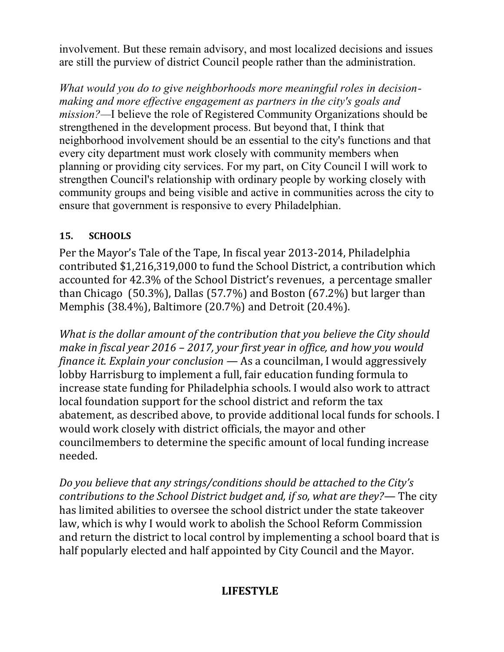involvement. But these remain advisory, and most localized decisions and issues are still the purview of district Council people rather than the administration.

*What would you do to give neighborhoods more meaningful roles in decisionmaking and more effective engagement as partners in the city's goals and mission?—*I believe the role of Registered Community Organizations should be strengthened in the development process. But beyond that, I think that neighborhood involvement should be an essential to the city's functions and that every city department must work closely with community members when planning or providing city services. For my part, on City Council I will work to strengthen Council's relationship with ordinary people by working closely with community groups and being visible and active in communities across the city to ensure that government is responsive to every Philadelphian.

#### **15. SCHOOLS**

Per the Mayor's Tale of the Tape, In fiscal year 2013-2014, Philadelphia contributed \$1,216,319,000 to fund the School District, a contribution which accounted for 42.3% of the School District's revenues, a percentage smaller than Chicago (50.3%), Dallas (57.7%) and Boston (67.2%) but larger than Memphis (38.4%), Baltimore (20.7%) and Detroit (20.4%).

*What is the dollar amount of the contribution that you believe the City should make in fiscal year 2016 – 2017, your first year in office, and how you would finance it. Explain your conclusion* — As a councilman, I would aggressively lobby Harrisburg to implement a full, fair education funding formula to increase state funding for Philadelphia schools. I would also work to attract local foundation support for the school district and reform the tax abatement, as described above, to provide additional local funds for schools. I would work closely with district officials, the mayor and other councilmembers to determine the specific amount of local funding increase needed.

*Do you believe that any strings/conditions should be attached to the City's contributions to the School District budget and, if so, what are they?—* The city has limited abilities to oversee the school district under the state takeover law, which is why I would work to abolish the School Reform Commission and return the district to local control by implementing a school board that is half popularly elected and half appointed by City Council and the Mayor.

# **LIFESTYLE**